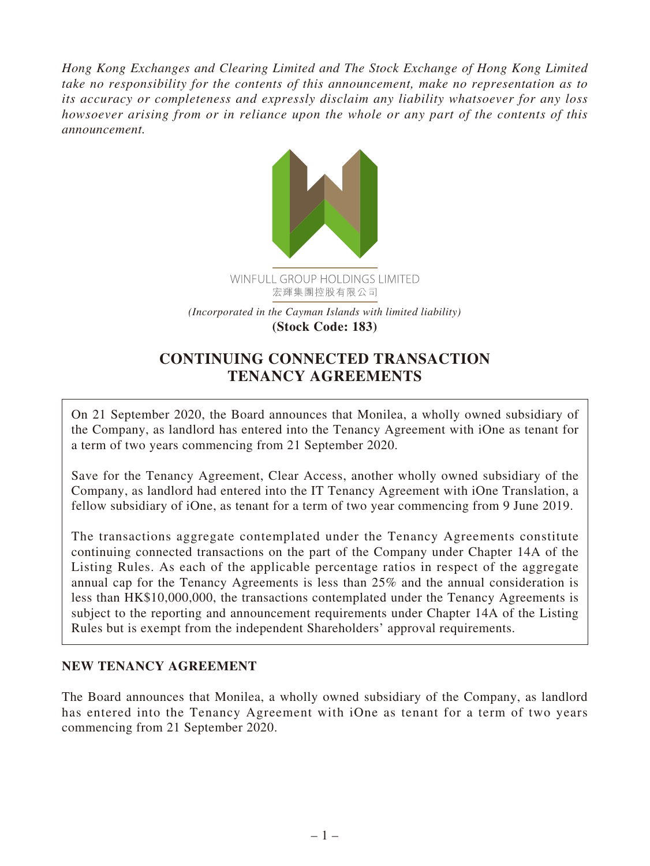*Hong Kong Exchanges and Clearing Limited and The Stock Exchange of Hong Kong Limited take no responsibility for the contents of this announcement, make no representation as to its accuracy or completeness and expressly disclaim any liability whatsoever for any loss howsoever arising from or in reliance upon the whole or any part of the contents of this announcement.*



# **CONTINUING CONNECTED TRANSACTION TENANCY AGREEMENTS**

On 21 September 2020, the Board announces that Monilea, a wholly owned subsidiary of the Company, as landlord has entered into the Tenancy Agreement with iOne as tenant for a term of two years commencing from 21 September 2020.

Save for the Tenancy Agreement, Clear Access, another wholly owned subsidiary of the Company, as landlord had entered into the IT Tenancy Agreement with iOne Translation, a fellow subsidiary of iOne, as tenant for a term of two year commencing from 9 June 2019.

The transactions aggregate contemplated under the Tenancy Agreements constitute continuing connected transactions on the part of the Company under Chapter 14A of the Listing Rules. As each of the applicable percentage ratios in respect of the aggregate annual cap for the Tenancy Agreements is less than 25% and the annual consideration is less than HK\$10,000,000, the transactions contemplated under the Tenancy Agreements is subject to the reporting and announcement requirements under Chapter 14A of the Listing Rules but is exempt from the independent Shareholders' approval requirements.

#### **NEW TENANCY AGREEMENT**

The Board announces that Monilea, a wholly owned subsidiary of the Company, as landlord has entered into the Tenancy Agreement with iOne as tenant for a term of two years commencing from 21 September 2020.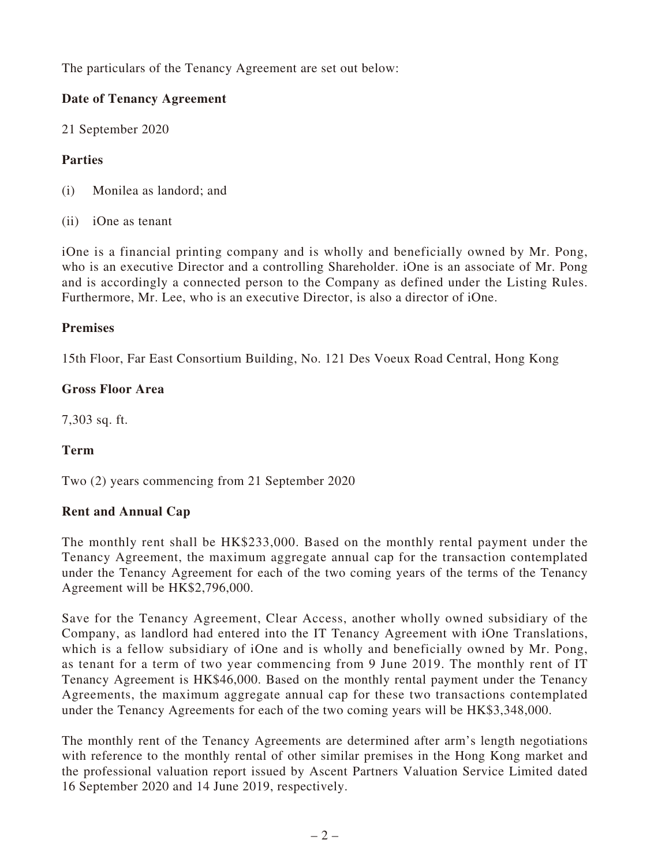The particulars of the Tenancy Agreement are set out below:

# **Date of Tenancy Agreement**

21 September 2020

# **Parties**

- (i) Monilea as landord; and
- (ii) iOne as tenant

iOne is a financial printing company and is wholly and beneficially owned by Mr. Pong, who is an executive Director and a controlling Shareholder. iOne is an associate of Mr. Pong and is accordingly a connected person to the Company as defined under the Listing Rules. Furthermore, Mr. Lee, who is an executive Director, is also a director of iOne.

### **Premises**

15th Floor, Far East Consortium Building, No. 121 Des Voeux Road Central, Hong Kong

### **Gross Floor Area**

7,303 sq. ft.

# **Term**

Two (2) years commencing from 21 September 2020

# **Rent and Annual Cap**

The monthly rent shall be HK\$233,000. Based on the monthly rental payment under the Tenancy Agreement, the maximum aggregate annual cap for the transaction contemplated under the Tenancy Agreement for each of the two coming years of the terms of the Tenancy Agreement will be HK\$2,796,000.

Save for the Tenancy Agreement, Clear Access, another wholly owned subsidiary of the Company, as landlord had entered into the IT Tenancy Agreement with iOne Translations, which is a fellow subsidiary of iOne and is wholly and beneficially owned by Mr. Pong, as tenant for a term of two year commencing from 9 June 2019. The monthly rent of IT Tenancy Agreement is HK\$46,000. Based on the monthly rental payment under the Tenancy Agreements, the maximum aggregate annual cap for these two transactions contemplated under the Tenancy Agreements for each of the two coming years will be HK\$3,348,000.

The monthly rent of the Tenancy Agreements are determined after arm's length negotiations with reference to the monthly rental of other similar premises in the Hong Kong market and the professional valuation report issued by Ascent Partners Valuation Service Limited dated 16 September 2020 and 14 June 2019, respectively.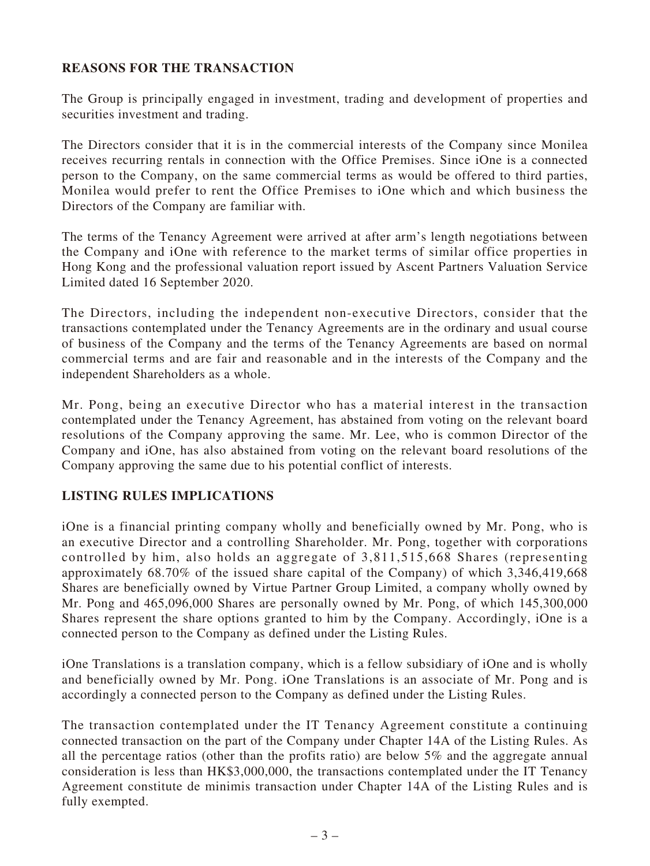## **REASONS FOR THE TRANSACTION**

The Group is principally engaged in investment, trading and development of properties and securities investment and trading.

The Directors consider that it is in the commercial interests of the Company since Monilea receives recurring rentals in connection with the Office Premises. Since iOne is a connected person to the Company, on the same commercial terms as would be offered to third parties, Monilea would prefer to rent the Office Premises to iOne which and which business the Directors of the Company are familiar with.

The terms of the Tenancy Agreement were arrived at after arm's length negotiations between the Company and iOne with reference to the market terms of similar office properties in Hong Kong and the professional valuation report issued by Ascent Partners Valuation Service Limited dated 16 September 2020.

The Directors, including the independent non-executive Directors, consider that the transactions contemplated under the Tenancy Agreements are in the ordinary and usual course of business of the Company and the terms of the Tenancy Agreements are based on normal commercial terms and are fair and reasonable and in the interests of the Company and the independent Shareholders as a whole.

Mr. Pong, being an executive Director who has a material interest in the transaction contemplated under the Tenancy Agreement, has abstained from voting on the relevant board resolutions of the Company approving the same. Mr. Lee, who is common Director of the Company and iOne, has also abstained from voting on the relevant board resolutions of the Company approving the same due to his potential conflict of interests.

#### **LISTING RULES IMPLICATIONS**

iOne is a financial printing company wholly and beneficially owned by Mr. Pong, who is an executive Director and a controlling Shareholder. Mr. Pong, together with corporations controlled by him, also holds an aggregate of 3,811,515,668 Shares (representing approximately 68.70% of the issued share capital of the Company) of which 3,346,419,668 Shares are beneficially owned by Virtue Partner Group Limited, a company wholly owned by Mr. Pong and 465,096,000 Shares are personally owned by Mr. Pong, of which 145,300,000 Shares represent the share options granted to him by the Company. Accordingly, iOne is a connected person to the Company as defined under the Listing Rules.

iOne Translations is a translation company, which is a fellow subsidiary of iOne and is wholly and beneficially owned by Mr. Pong. iOne Translations is an associate of Mr. Pong and is accordingly a connected person to the Company as defined under the Listing Rules.

The transaction contemplated under the IT Tenancy Agreement constitute a continuing connected transaction on the part of the Company under Chapter 14A of the Listing Rules. As all the percentage ratios (other than the profits ratio) are below 5% and the aggregate annual consideration is less than HK\$3,000,000, the transactions contemplated under the IT Tenancy Agreement constitute de minimis transaction under Chapter 14A of the Listing Rules and is fully exempted.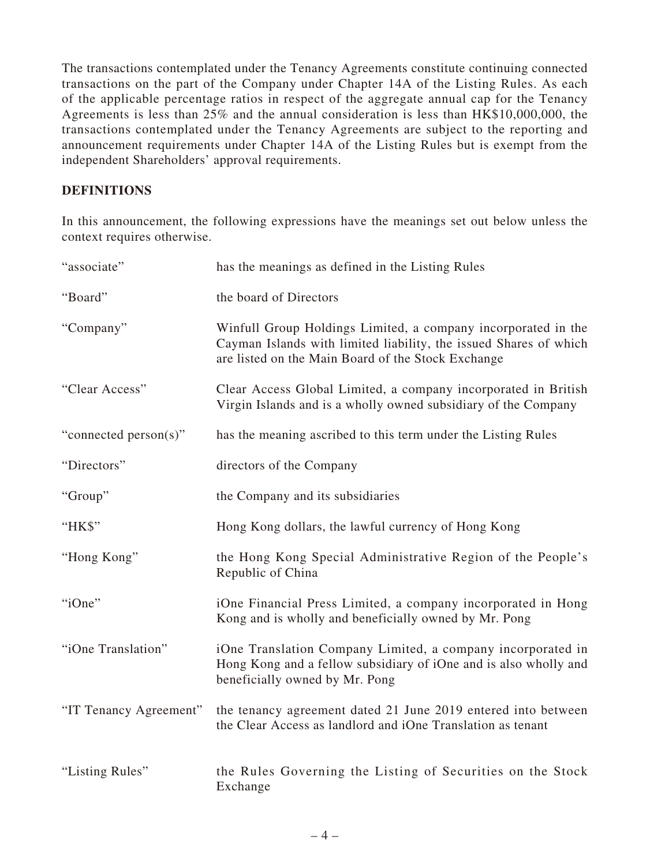The transactions contemplated under the Tenancy Agreements constitute continuing connected transactions on the part of the Company under Chapter 14A of the Listing Rules. As each of the applicable percentage ratios in respect of the aggregate annual cap for the Tenancy Agreements is less than 25% and the annual consideration is less than HK\$10,000,000, the transactions contemplated under the Tenancy Agreements are subject to the reporting and announcement requirements under Chapter 14A of the Listing Rules but is exempt from the independent Shareholders' approval requirements.

### **DEFINITIONS**

In this announcement, the following expressions have the meanings set out below unless the context requires otherwise.

| "associate"            | has the meanings as defined in the Listing Rules                                                                                                                                         |
|------------------------|------------------------------------------------------------------------------------------------------------------------------------------------------------------------------------------|
| "Board"                | the board of Directors                                                                                                                                                                   |
| "Company"              | Winfull Group Holdings Limited, a company incorporated in the<br>Cayman Islands with limited liability, the issued Shares of which<br>are listed on the Main Board of the Stock Exchange |
| "Clear Access"         | Clear Access Global Limited, a company incorporated in British<br>Virgin Islands and is a wholly owned subsidiary of the Company                                                         |
| "connected person(s)"  | has the meaning ascribed to this term under the Listing Rules                                                                                                                            |
| "Directors"            | directors of the Company                                                                                                                                                                 |
| "Group"                | the Company and its subsidiaries                                                                                                                                                         |
| "HK\$"                 | Hong Kong dollars, the lawful currency of Hong Kong                                                                                                                                      |
| "Hong Kong"            | the Hong Kong Special Administrative Region of the People's<br>Republic of China                                                                                                         |
| "iOne"                 | iOne Financial Press Limited, a company incorporated in Hong<br>Kong and is wholly and beneficially owned by Mr. Pong                                                                    |
| "iOne Translation"     | iOne Translation Company Limited, a company incorporated in<br>Hong Kong and a fellow subsidiary of iOne and is also wholly and<br>beneficially owned by Mr. Pong                        |
| "IT Tenancy Agreement" | the tenancy agreement dated 21 June 2019 entered into between<br>the Clear Access as landlord and iOne Translation as tenant                                                             |
| "Listing Rules"        | the Rules Governing the Listing of Securities on the Stock<br>Exchange                                                                                                                   |